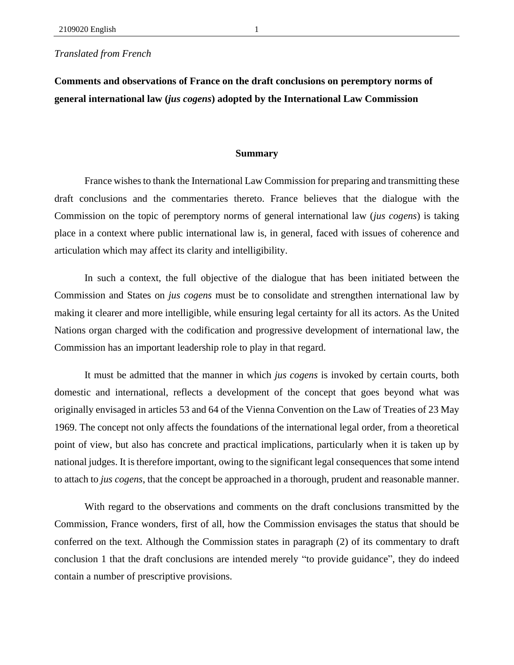## *Translated from French*

## **Comments and observations of France on the draft conclusions on peremptory norms of general international law (***jus cogens***) adopted by the International Law Commission**

## **Summary**

France wishes to thank the International Law Commission for preparing and transmitting these draft conclusions and the commentaries thereto. France believes that the dialogue with the Commission on the topic of peremptory norms of general international law (*jus cogens*) is taking place in a context where public international law is, in general, faced with issues of coherence and articulation which may affect its clarity and intelligibility.

In such a context, the full objective of the dialogue that has been initiated between the Commission and States on *jus cogens* must be to consolidate and strengthen international law by making it clearer and more intelligible, while ensuring legal certainty for all its actors. As the United Nations organ charged with the codification and progressive development of international law, the Commission has an important leadership role to play in that regard.

It must be admitted that the manner in which *jus cogens* is invoked by certain courts, both domestic and international, reflects a development of the concept that goes beyond what was originally envisaged in articles 53 and 64 of the Vienna Convention on the Law of Treaties of 23 May 1969. The concept not only affects the foundations of the international legal order, from a theoretical point of view, but also has concrete and practical implications, particularly when it is taken up by national judges. It is therefore important, owing to the significant legal consequences that some intend to attach to *jus cogens*, that the concept be approached in a thorough, prudent and reasonable manner.

With regard to the observations and comments on the draft conclusions transmitted by the Commission, France wonders, first of all, how the Commission envisages the status that should be conferred on the text. Although the Commission states in paragraph (2) of its commentary to draft conclusion 1 that the draft conclusions are intended merely "to provide guidance", they do indeed contain a number of prescriptive provisions.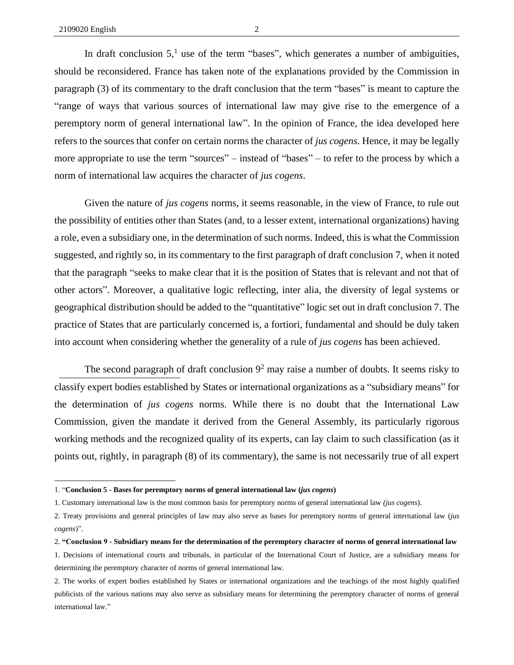In draft conclusion  $5<sup>1</sup>$  use of the term "bases", which generates a number of ambiguities, should be reconsidered. France has taken note of the explanations provided by the Commission in paragraph (3) of its commentary to the draft conclusion that the term "bases" is meant to capture the "range of ways that various sources of international law may give rise to the emergence of a

peremptory norm of general international law". In the opinion of France, the idea developed here refers to the sources that confer on certain norms the character of *jus cogens*. Hence, it may be legally more appropriate to use the term "sources" – instead of "bases" – to refer to the process by which a norm of international law acquires the character of *jus cogens*.

Given the nature of *jus cogens* norms, it seems reasonable, in the view of France, to rule out the possibility of entities other than States (and, to a lesser extent, international organizations) having a role, even a subsidiary one, in the determination of such norms. Indeed, this is what the Commission suggested, and rightly so, in its commentary to the first paragraph of draft conclusion 7, when it noted that the paragraph "seeks to make clear that it is the position of States that is relevant and not that of other actors". Moreover, a qualitative logic reflecting, inter alia, the diversity of legal systems or geographical distribution should be added to the "quantitative" logic set out in draft conclusion 7. The practice of States that are particularly concerned is, a fortiori, fundamental and should be duly taken into account when considering whether the generality of a rule of *jus cogens* has been achieved.

The second paragraph of draft conclusion  $9<sup>2</sup>$  may raise a number of doubts. It seems risky to classify expert bodies established by States or international organizations as a "subsidiary means" for the determination of *jus cogens* norms. While there is no doubt that the International Law Commission, given the mandate it derived from the General Assembly, its particularly rigorous working methods and the recognized quality of its experts, can lay claim to such classification (as it points out, rightly, in paragraph (8) of its commentary), the same is not necessarily true of all expert

<sup>1. &</sup>quot;**Conclusion 5 - Bases for peremptory norms of general international law (***jus cogens***)**

<sup>1.</sup> Customary international law is the most common basis for peremptory norms of general international law *(jus cogens*).

<sup>2.</sup> Treaty provisions and general principles of law may also serve as bases for peremptory norms of general international law (*jus cogens*)".

<sup>2.</sup> **"Conclusion 9 - Subsidiary means for the determination of the peremptory character of norms of general international law**

<sup>1.</sup> Decisions of international courts and tribunals, in particular of the International Court of Justice, are a subsidiary means for determining the peremptory character of norms of general international law.

<sup>2.</sup> The works of expert bodies established by States or international organizations and the teachings of the most highly qualified publicists of the various nations may also serve as subsidiary means for determining the peremptory character of norms of general international law."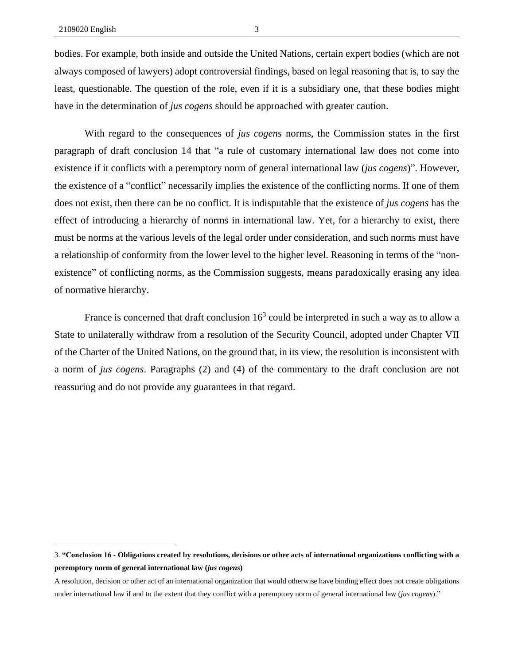bodies. For example, both inside and outside the United Nations, certain expert bodies (which are not always composed of lawyers) adopt controversial findings, based on legal reasoning that is, to say the least, questionable. The question of the role, even if it is a subsidiary one, that these bodies might have in the determination of *jus cogens* should be approached with greater caution.

With regard to the consequences of *jus cogens* norms, the Commission states in the first paragraph of draft conclusion 14 that "a rule of customary international law does not come into existence if it conflicts with a peremptory norm of general international law (*jus cogens*)". However, the existence of a "conflict" necessarily implies the existence of the conflicting norms. If one of them does not exist, then there can be no conflict. It is indisputable that the existence of *jus cogens* has the effect of introducing a hierarchy of norms in international law. Yet, for a hierarchy to exist, there must be norms at the various levels of the legal order under consideration, and such norms must have a relationship of conformity from the lower level to the higher level. Reasoning in terms of the "nonexistence" of conflicting norms, as the Commission suggests, means paradoxically erasing any idea of normative hierarchy.

France is concerned that draft conclusion  $16<sup>3</sup>$  could be interpreted in such a way as to allow a State to unilaterally withdraw from a resolution of the Security Council, adopted under Chapter VII of the Charter of the United Nations, on the ground that, in its view, the resolution is inconsistent with a norm of *jus cogens*. Paragraphs (2) and (4) of the commentary to the draft conclusion are not reassuring and do not provide any guarantees in that regard.

<sup>3.</sup> **"Conclusion 16 - Obligations created by resolutions, decisions or other acts of international organizations conflicting with a peremptory norm of general international law (***jus cogens***)**

A resolution, decision or other act of an international organization that would otherwise have binding effect does not create obligations under international law if and to the extent that they conflict with a peremptory norm of general international law (*jus cogens*)."